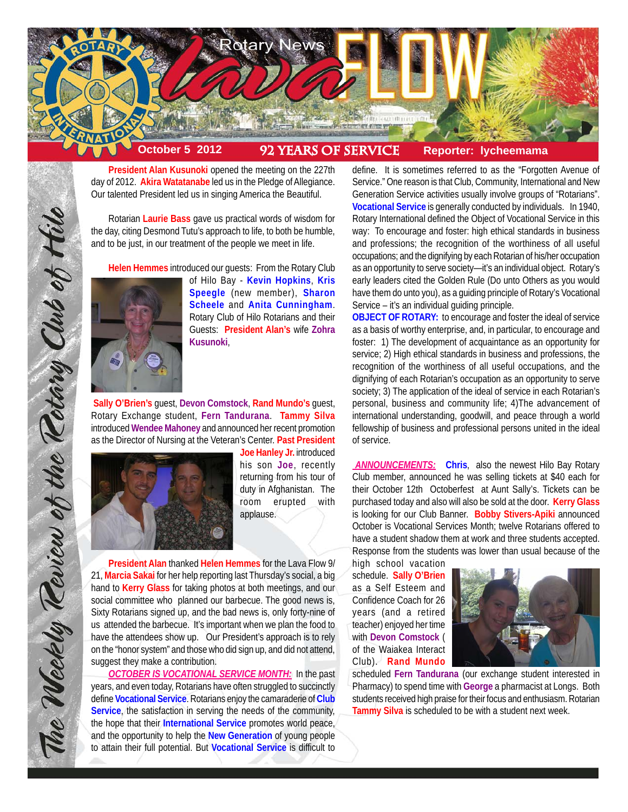

**President Alan Kusunoki** opened the meeting on the 227th day of 2012. **Akira Watatanabe** led us in the Pledge of Allegiance. Our talented President led us in singing America the Beautiful.

Rotarian **Laurie Bass** gave us practical words of wisdom for the day, citing Desmond Tutu's approach to life, to both be humble, and to be just, in our treatment of the people we meet in life.

**Helen Hemmes** introduced our guests: From the Rotary Club



of Hilo Bay - **Kevin Hopkins**, **Kris Speegle** (new member), **Sharon Scheele** and **Anita Cunningham**. Rotary Club of Hilo Rotarians and their Guests: **President Alan's** wife **Zohra Kusunoki**,

**Sally O'Brien's** guest, **Devon Comstock**, **Rand Mundo's** guest, Rotary Exchange student, **Fern Tandurana**. **Tammy Silva** introduced **Wendee Mahoney** and announced her recent promotion as the Director of Nursing at the Veteran's Center. **Past President**



The Weekly Teview of the Tetary Club of Hilo

**Joe Hanley Jr.** introduced his son **Joe**, recently returning from his tour of duty in Afghanistan. The room erupted with applause.

**President Alan** thanked **Helen Hemmes** for the Lava Flow 9/ 21, **Marcia Sakai** for her help reporting last Thursday's social, a big hand to **Kerry Glass** for taking photos at both meetings, and our social committee who planned our barbecue. The good news is, Sixty Rotarians signed up, and the bad news is, only forty-nine of us attended the barbecue. It's important when we plan the food to have the attendees show up. Our President's approach is to rely on the "honor system" and those who did sign up, and did not attend, suggest they make a contribution.

*OCTOBER IS VOCATIONAL SERVICE MONTH:* In the past years, and even today, Rotarians have often struggled to succinctly define **Vocational Service**. Rotarians enjoy the camaraderie of **Club Service**, the satisfaction in serving the needs of the community, the hope that their **International Service** promotes world peace, and the opportunity to help the **New Generation** of young people to attain their full potential. But **Vocational Service** is difficult to

define. It is sometimes referred to as the "Forgotten Avenue of Service." One reason is that Club, Community, International and New Generation Service activities usually involve groups of "Rotarians". **Vocational Service** is generally conducted by individuals. In 1940, Rotary International defined the Object of Vocational Service in this way: To encourage and foster: high ethical standards in business and professions; the recognition of the worthiness of all useful occupations; and the dignifying by each Rotarian of his/her occupation as an opportunity to serve society—it's an individual object. Rotary's early leaders cited the Golden Rule (Do unto Others as you would have them do unto you), as a guiding principle of Rotary's Vocational Service – it's an individual guiding principle.

**OBJECT OF ROTARY:** to encourage and foster the ideal of service as a basis of worthy enterprise, and, in particular, to encourage and foster: 1) The development of acquaintance as an opportunity for service; 2) High ethical standards in business and professions, the recognition of the worthiness of all useful occupations, and the dignifying of each Rotarian's occupation as an opportunity to serve society; 3) The application of the ideal of service in each Rotarian's personal, business and community life; 4)The advancement of international understanding, goodwill, and peace through a world fellowship of business and professional persons united in the ideal of service.

*ANNOUNCEMENTS:* **Chris**, also the newest Hilo Bay Rotary Club member, announced he was selling tickets at \$40 each for their October 12th Octoberfest at Aunt Sally's. Tickets can be purchased today and also will also be sold at the door. **Kerry Glass** is looking for our Club Banner. **Bobby Stivers-Apiki** announced October is Vocational Services Month; twelve Rotarians offered to have a student shadow them at work and three students accepted. Response from the students was lower than usual because of the

high school vacation schedule. **Sally O'Brien** as a Self Esteem and Confidence Coach for 26 years (and a retired teacher) enjoyed her time with **Devon Comstock** ( of the Waiakea Interact Club). **Rand Mundo**



scheduled **Fern Tandurana** (our exchange student interested in Pharmacy) to spend time with **George** a pharmacist at Longs. Both students received high praise for their focus and enthusiasm. Rotarian **Tammy Silva** is scheduled to be with a student next week.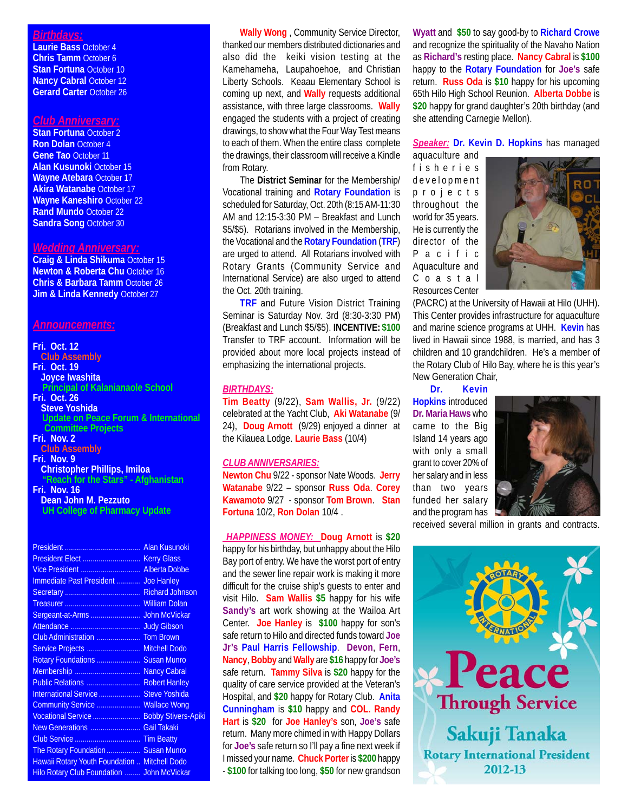## *Birthdays:*

**Laurie Bass** October 4 **Chris Tamm** October 6 **Stan Fortuna** October 10 **Nancy Cabral October 12 Gerard Carter** October 26

### *Club Anniversary:*

**Stan Fortuna** October 2 **Ron Dolan** October 4 **Gene Tao** October 11 **Alan Kusunoki** October 15 **Wayne Atebara** October 17 **Akira Watanabe** October 17 **Wayne Kaneshiro** October 22 **Rand Mundo** October 22 **Sandra Song** October 30

# *Wedding Anniversary:*

**Craig & Linda Shikuma** October 15 **Newton & Roberta Chu** October 16 **Chris & Barbara Tamm** October 26 **Jim & Linda Kennedy October 27** 

## *Announcements:*

**Fri. Oct. 12 Club Assembly Fri. Oct. 19 Joyce Iwashita Principal of Kalanianaole School Fri. Oct. 26 Steve Yoshida**

 **Update on Peace Forum & International Committee Projects**

**Fri. Nov. 2 Club Assembly**

**Fri. Nov. 9 Christopher Phillips, Imiloa "Reach for the Stars" - Afghanistan**

#### **Fri. Nov. 16 Dean John M. Pezzuto UH College of Pharmacy Update**

| Vice President  Alberta Dobbe                        |  |
|------------------------------------------------------|--|
| Immediate Past President  Joe Hanley                 |  |
|                                                      |  |
|                                                      |  |
|                                                      |  |
|                                                      |  |
| Club Administration  Tom Brown                       |  |
| Service Projects  Mitchell Dodo                      |  |
| Rotary Foundations  Susan Munro                      |  |
| Membership  Nancy Cabral                             |  |
| Public Relations  Robert Hanley                      |  |
| International Service  Steve Yoshida                 |  |
| Community Service  Wallace Wong                      |  |
| Vocational Service  Bobby Stivers-Apiki              |  |
|                                                      |  |
|                                                      |  |
| The Rotary Foundation  Susan Munro                   |  |
| <b>Hawaii Rotary Youth Foundation  Mitchell Dodo</b> |  |
| Hilo Rotary Club Foundation  John McVickar           |  |
|                                                      |  |

**Wally Wong** , Community Service Director, thanked our members distributed dictionaries and also did the keiki vision testing at the Kamehameha, Laupahoehoe, and Christian Liberty Schools. Keaau Elementary School is coming up next, and **Wally** requests additional assistance, with three large classrooms. **Wally** engaged the students with a project of creating drawings, to show what the Four Way Test means to each of them. When the entire class complete the drawings, their classroom will receive a Kindle from Rotary.

The **District Seminar** for the Membership/ Vocational training and **Rotary Foundation** is scheduled for Saturday, Oct. 20th (8:15 AM-11:30 AM and 12:15-3:30 PM – Breakfast and Lunch \$5/\$5). Rotarians involved in the Membership, the Vocational and the **Rotary Foundation** (**TRF**) are urged to attend. All Rotarians involved with Rotary Grants (Community Service and International Service) are also urged to attend the Oct. 20th training.

**TRF** and Future Vision District Training Seminar is Saturday Nov. 3rd (8:30-3:30 PM) (Breakfast and Lunch \$5/\$5). **INCENTIVE: \$100** Transfer to TRF account. Information will be provided about more local projects instead of emphasizing the international projects.

## *BIRTHDAYS:*

**Tim Beatty** (9/22), **Sam Wallis, Jr.** (9/22) celebrated at the Yacht Club, **Aki Watanabe** (9/ 24), **Doug Arnott** (9/29) enjoyed a dinner at the Kilauea Lodge. **Laurie Bass** (10/4)

## *CLUB ANNIVERSARIES:*

**Newton Chu** 9/22 - sponsor Nate Woods. **Jerry Watanabe** 9/22 – sponsor **Russ Oda**. **Corey Kawamoto** 9/27 - sponsor **Tom Brown**. **Stan Fortuna** 10/2, **Ron Dolan** 10/4 .

 *HAPPINESS MONEY:* **Doug Arnott** is **\$20** happy for his birthday, but unhappy about the Hilo Bay port of entry. We have the worst port of entry and the sewer line repair work is making it more difficult for the cruise ship's guests to enter and visit Hilo. **Sam Wallis \$5** happy for his wife **Sandy's** art work showing at the Wailoa Art Center. **Joe Hanley** is **\$100** happy for son's safe return to Hilo and directed funds toward **Joe Jr's Paul Harris Fellowship**. **Devon**, **Fern**, **Nancy**, **Bobby** and **Wally** are **\$16** happy for **Joe's** safe return. **Tammy Silva** is **\$20** happy for the quality of care service provided at the Veteran's Hospital, and **\$20** happy for Rotary Club. **Anita Cunningham** is **\$10** happy and **COL. Randy Hart** is **\$20** for **Joe Hanley's** son, **Joe's** safe return. Many more chimed in with Happy Dollars for **Joe's** safe return so I'll pay a fine next week if I missed your name. **Chuck Porter** is **\$200** happy - **\$100** for talking too long, **\$50** for new grandson **Wyatt** and **\$50** to say good-by to **Richard Crowe** and recognize the spirituality of the Navaho Nation as **Richard's** resting place. **Nancy Cabral** is **\$100** happy to the **Rotary Foundation** for **Joe's** safe return. **Russ Oda** is **\$10** happy for his upcoming 65th Hilo High School Reunion. **Alberta Dobbe** is **\$20** happy for grand daughter's 20th birthday (and she attending Carnegie Mellon).

## *Speaker:* **Dr. Kevin D. Hopkins** has managed

aquaculture and fisheries development projects throughout the world for 35 years. He is currently the director of the Pacific Aquaculture and Coastal Resources Center



(PACRC) at the University of Hawaii at Hilo (UHH). This Center provides infrastructure for aquaculture and marine science programs at UHH. **Kevin** has lived in Hawaii since 1988, is married, and has 3 children and 10 grandchildren. He's a member of the Rotary Club of Hilo Bay, where he is this year's New Generation Chair,

**Dr. Kevin Hopkins** introduced **Dr. Maria Haws** who came to the Big Island 14 years ago with only a small grant to cover 20% of her salary and in less than two years funded her salary and the program has



received several million in grants and contracts.